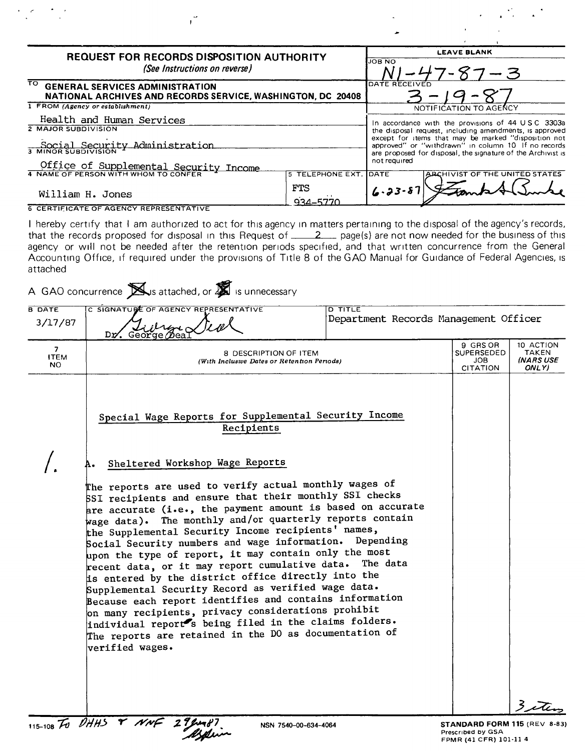| <b>REQUEST FOR RECORDS DISPOSITION AUTHORITY</b><br>(See Instructions on reverse)                                           |                                                                                                                                                                                                                                        | <b>LEAVE BLANK</b><br><b>JOB NO</b><br>$-3$              |                                |  |
|-----------------------------------------------------------------------------------------------------------------------------|----------------------------------------------------------------------------------------------------------------------------------------------------------------------------------------------------------------------------------------|----------------------------------------------------------|--------------------------------|--|
|                                                                                                                             |                                                                                                                                                                                                                                        |                                                          |                                |  |
| 1 FROM (Agency or establishment)                                                                                            |                                                                                                                                                                                                                                        | NOTIFICATION TO AGENCY                                   |                                |  |
| Health and Human Services<br>2 MAJOR SUBDIVISION                                                                            |                                                                                                                                                                                                                                        | In accordance with the provisions of $44 \cup 5$ C 3303a |                                |  |
| Social Security Administration                                                                                              | the disposal request, including amendments, is approved<br>except for items that may be marked "disposition not<br>approved" or "withdrawn" in column 10 If no records<br>are proposed for disposal, the signature of the Archivist is |                                                          |                                |  |
| Office of Supplemental Security Income                                                                                      |                                                                                                                                                                                                                                        | not required                                             |                                |  |
|                                                                                                                             | <b>5 TELEPHONE EXT. IDATE</b>                                                                                                                                                                                                          |                                                          | ARCHIVIST OF THE UNITED STATES |  |
| William H. Jones                                                                                                            | FTS<br>934-5770                                                                                                                                                                                                                        | $6.23 - 87$                                              |                                |  |
| <b>6 CERTIFICATE OF AGENCY REPRESENTATIVE</b>                                                                               |                                                                                                                                                                                                                                        |                                                          |                                |  |
| I hereby certify that I am authorized to act for this agency in matters pertaining to the disposal of the agency's records, |                                                                                                                                                                                                                                        |                                                          |                                |  |

 $\mathbf{I}$ 

that the records proposed for disposal in this Request of  $\_\_\_2$  page(s) are not now needed for the business of this agency or will not be needed after the retention periods specified, and that written concurrence from the Genera Accounting Office, if required under the provisions of Title 8 of the GAO Manual for Guidance of Federal Agencies, is attached

| 3/17/87                  | C SIGNATURE OF AGENCY REPRESENTATIVE<br>Dr.<br>George                                                                                                                                                                                                                                                                                                                                                                                                                                                                                                                                                                                                                                                                                                                                                                                                                                        | <b>D TITLE</b> | Department Records Management Officer                   |                                          |  |
|--------------------------|----------------------------------------------------------------------------------------------------------------------------------------------------------------------------------------------------------------------------------------------------------------------------------------------------------------------------------------------------------------------------------------------------------------------------------------------------------------------------------------------------------------------------------------------------------------------------------------------------------------------------------------------------------------------------------------------------------------------------------------------------------------------------------------------------------------------------------------------------------------------------------------------|----------------|---------------------------------------------------------|------------------------------------------|--|
| 7.<br><b>ITEM</b><br>NO. | 8 DESCRIPTION OF ITEM<br>(With Inclusive Dates or Retention Periods)                                                                                                                                                                                                                                                                                                                                                                                                                                                                                                                                                                                                                                                                                                                                                                                                                         |                | 9 GRS OR<br>SUPERSEDED<br><b>JOB</b><br><b>CITATION</b> | 10 ACTION<br>TAKEN<br>(NARS USE<br>ONLY) |  |
|                          | Special Wage Reports for Supplemental Security Income<br>Recipients                                                                                                                                                                                                                                                                                                                                                                                                                                                                                                                                                                                                                                                                                                                                                                                                                          |                |                                                         |                                          |  |
|                          | Sheltered Workshop Wage Reports<br>The reports are used to verify actual monthly wages of<br>SSI recipients and ensure that their monthly SSI checks<br>are accurate (i.e., the payment amount is based on accurate<br>wage data). The monthly and/or quarterly reports contain<br>the Supplemental Security Income recipients' names,<br>Social Security numbers and wage information. Depending<br>upon the type of report, it may contain only the most<br>recent data, or it may report cumulative data. The data<br>is entered by the district office directly into the<br>Supplemental Security Record as verified wage data.<br>Because each report identifies and contains information<br>on many recipients, privacy considerations prohibit<br>individual report's being filed in the claims folders.<br>The reports are retained in the DO as documentation of<br>verified wages. |                |                                                         |                                          |  |
|                          |                                                                                                                                                                                                                                                                                                                                                                                                                                                                                                                                                                                                                                                                                                                                                                                                                                                                                              |                |                                                         | $\mathbf{3}$                             |  |

 $\frac{1}{2} \sum_{i=1}^n \frac{1}{2} \sum_{j=1}^n \frac{1}{2} \sum_{j=1}^n \frac{1}{2} \sum_{j=1}^n \frac{1}{2} \sum_{j=1}^n \frac{1}{2} \sum_{j=1}^n \frac{1}{2} \sum_{j=1}^n \frac{1}{2} \sum_{j=1}^n \frac{1}{2} \sum_{j=1}^n \frac{1}{2} \sum_{j=1}^n \frac{1}{2} \sum_{j=1}^n \frac{1}{2} \sum_{j=1}^n \frac{1}{2} \sum_{j=1}^n \frac{1}{2} \sum_{j=$ 

 $\mathbf{r}$